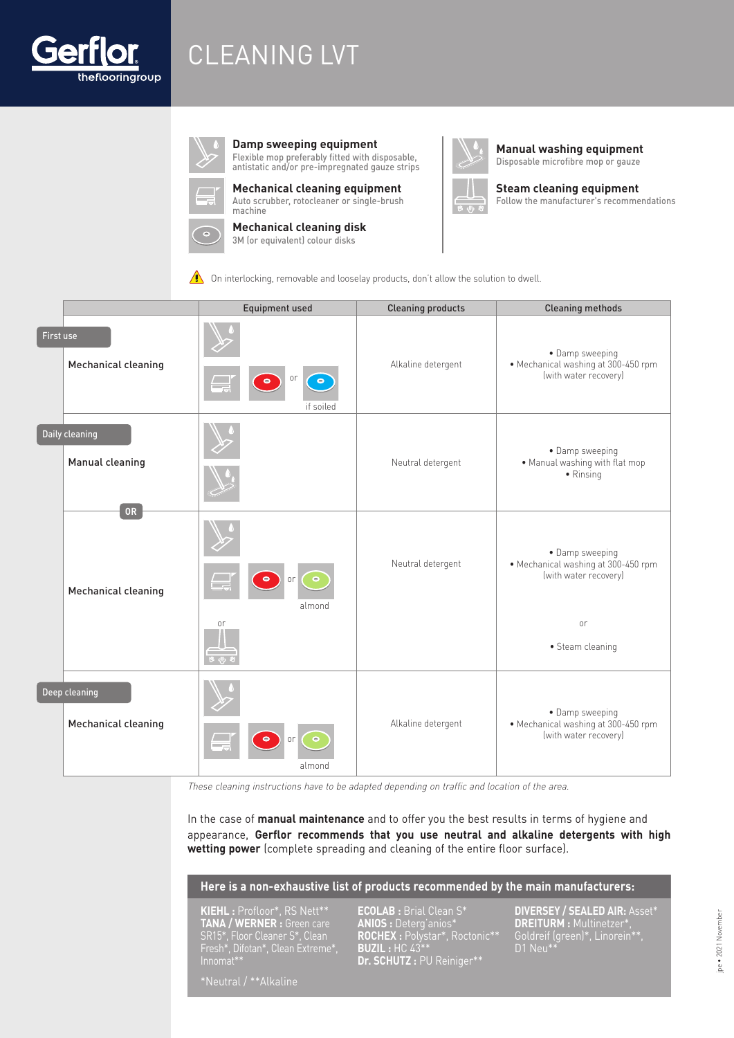

# CLEANING LVT



**Damp sweeping equipment**

Flexible mop preferably fitted with disposable, antistatic and/or pre-impregnated gauze strips



**Mechanical cleaning equipment**

Auto scrubber, rotocleaner or single-brush machine



**Mechanical cleaning disk** 3M (or equivalent) colour disks



**Manual washing equipment**  Disposable microfibre mop or gauze



Follow the manufacturer's recommendations

 $\bigwedge$  On interlocking, removable and looselay products, don't allow the solution to dwell.

|           |                                      | <b>Equipment used</b>                                                                   | <b>Cleaning products</b> | <b>Cleaning methods</b>                                                         |
|-----------|--------------------------------------|-----------------------------------------------------------------------------------------|--------------------------|---------------------------------------------------------------------------------|
| First use | Mechanical cleaning                  | or<br>$\begin{bmatrix} \bullet \\ \bullet \end{bmatrix}$<br>$\bullet$<br>⋤<br>if soiled | Alkaline detergent       | · Damp sweeping<br>• Mechanical washing at 300-450 rpm<br>(with water recovery) |
|           | Daily cleaning<br>Manual cleaning    |                                                                                         | Neutral detergent        | • Damp sweeping<br>. Manual washing with flat mop<br>$\bullet$ Rinsing          |
|           | <b>OR</b><br>Mechanical cleaning     | $\bullet$<br>$\bullet$<br>or<br>almond                                                  | Neutral detergent        | • Damp sweeping<br>· Mechanical washing at 300-450 rpm<br>(with water recovery) |
|           |                                      | or                                                                                      |                          | or<br>• Steam cleaning                                                          |
|           | Deep cleaning<br>Mechanical cleaning | ▄<br>$\bullet$<br>or<br>almond                                                          | Alkaline detergent       | · Damp sweeping<br>· Mechanical washing at 300-450 rpm<br>(with water recovery) |

These cleaning instructions have to be adapted depending on traffic and location of the area.

In the case of **manual maintenance** and to offer you the best results in terms of hygiene and appearance, **Gerflor recommends that you use neutral and alkaline detergents with high wetting power** (complete spreading and cleaning of the entire floor surface).

#### **Here is a non-exhaustive list of products recommended by the main manufacturers:**

**KIEHL :** Profloor\*, RS Nett\*\* **TANA / WERNER :** Green care SR15\*, Floor Cleaner S\*, Clean Fresh\*, Difotan\*, Clean Extreme\*, Innomat\*\*

**ECOLAB :** Brial Clean S\* **ANIOS :** Deterg'anios\* **ROCHEX :** Polystar\*, Roctonic\*\* **BUZIL :** HC 43\*\* **Dr. SCHUTZ :** PU Reiniger\*\*

**DIVERSEY / SEALED AIR:** Asset\* **DREITURM :** Multinetzer\*, Goldreif (green)\*, Linorein\*\*, D1 Neu\*\*

\*Neutral / \*\*Alkaline